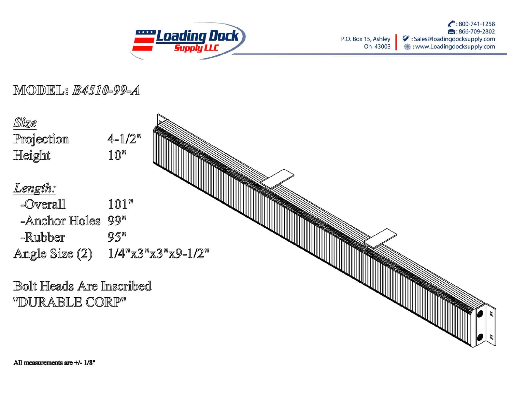

: 800-741-1258 第:866-709-2802 P.O. Box 15, Ashley ◆ : Sales@loadingdocksupply.com Oh 43003 **<br />
settleman in the settlem of the settlem of the settlem of the settlem of the settlem of the settlem of the settlem of the settlem of the settlem of the settlem of the settlem of the settlem of the settlem of the s** 

## MODEL: B4510-99-A

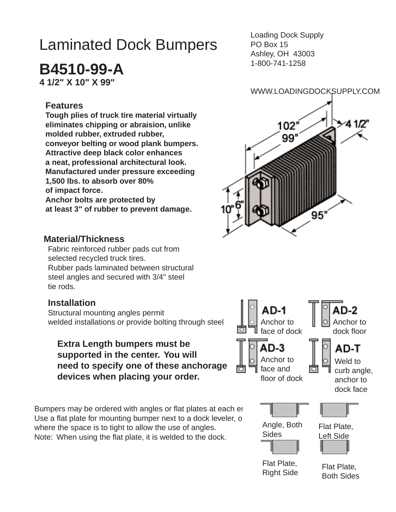# Laminated Dock Bumpers

**B4510-99-A**

**4 1/2" X 10" X 99"**

#### **Features**

**Tough plies of truck tire material virtually eliminates chipping or abraision, unlike molded rubber, extruded rubber, conveyor belting or wood plank bumpers. Attractive deep black color enhances a neat, professional architectural look. Manufactured under pressure exceeding 1,500 lbs. to absorb over 80% of impact force. Anchor bolts are protected by at least 3" of rubber to prevent damage.**

**Material/Thickness**

 Fabric reinforced rubber pads cut from selected recycled truck tires. Rubber pads laminated between structural steel angles and secured with 3/4" steel tie rods.

#### **Installation**

Structural mounting angles permit welded installations or provide bolting through steel

### **Extra Length bumpers must be supported in the center. You will need to specify one of these anchorage devices when placing your order.**

Bumpers may be ordered with angles or flat plates at each er Use a flat plate for mounting bumper next to a dock leveler, o where the space is to tight to allow the use of angles. Note: When using the flat plate, it is welded to the dock.

Loading Dock Supply PO Box 15 Ashley, OH 43003 1-800-741-1258